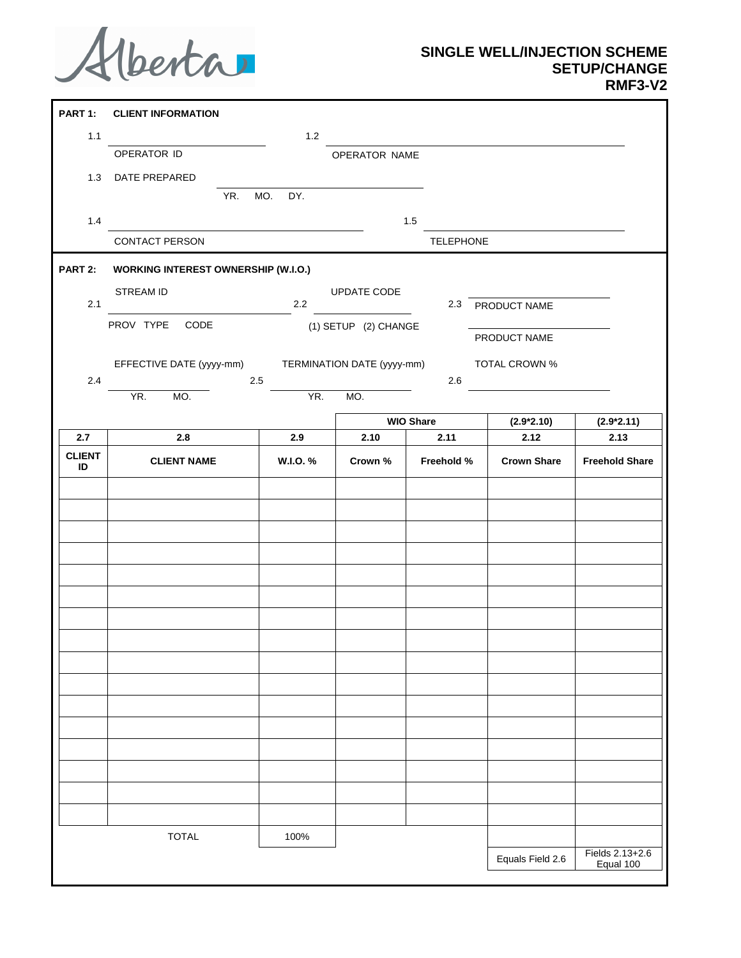

## **SINGLE WELL/INJECTION SCHEME SETUP/CHANGE RMF3-V2**

| PART 1:             | <b>CLIENT INFORMATION</b>                                               |     |                |                      |                          |                      |                              |
|---------------------|-------------------------------------------------------------------------|-----|----------------|----------------------|--------------------------|----------------------|------------------------------|
| 1.1                 |                                                                         |     | $1.2$          |                      |                          |                      |                              |
|                     | OPERATOR ID                                                             |     |                | OPERATOR NAME        |                          |                      |                              |
| 1.3                 | DATE PREPARED                                                           |     |                |                      |                          |                      |                              |
|                     |                                                                         | YR. | MO.<br>DY.     |                      |                          |                      |                              |
| 1.4                 |                                                                         |     |                |                      | 1.5                      |                      |                              |
|                     | CONTACT PERSON                                                          |     |                |                      | TELEPHONE                |                      |                              |
| PART 2:             | <b>WORKING INTEREST OWNERSHIP (W.I.O.)</b>                              |     |                |                      |                          |                      |                              |
|                     | STREAM ID                                                               |     |                | UPDATE CODE          |                          |                      |                              |
| 2.1                 |                                                                         |     | 2.2            |                      | 2.3                      | PRODUCT NAME         |                              |
|                     | PROV TYPE CODE                                                          |     |                | (1) SETUP (2) CHANGE |                          |                      |                              |
|                     |                                                                         |     |                |                      |                          | PRODUCT NAME         |                              |
|                     | EFFECTIVE DATE (yyyy-mm)<br>TERMINATION DATE (yyyy-mm)<br>TOTAL CROWN % |     |                |                      |                          |                      |                              |
| 2.4                 | YR.<br>MO.                                                              |     | $2.5\,$<br>YR. | MO.                  | 2.6                      |                      |                              |
|                     |                                                                         |     |                |                      |                          |                      |                              |
| 2.7                 | 2.8                                                                     |     | 2.9            | 2.10                 | <b>WIO Share</b><br>2.11 | $(2.9*2.10)$<br>2.12 | $(2.9*2.11)$<br>2.13         |
| <b>CLIENT</b><br>ID | <b>CLIENT NAME</b>                                                      |     | W.I.O. %       | Crown %              | Freehold %               | <b>Crown Share</b>   | <b>Freehold Share</b>        |
|                     |                                                                         |     |                |                      |                          |                      |                              |
|                     |                                                                         |     |                |                      |                          |                      |                              |
|                     |                                                                         |     |                |                      |                          |                      |                              |
|                     |                                                                         |     |                |                      |                          |                      |                              |
|                     |                                                                         |     |                |                      |                          |                      |                              |
|                     |                                                                         |     |                |                      |                          |                      |                              |
|                     |                                                                         |     |                |                      |                          |                      |                              |
|                     |                                                                         |     |                |                      |                          |                      |                              |
|                     |                                                                         |     |                |                      |                          |                      |                              |
|                     |                                                                         |     |                |                      |                          |                      |                              |
|                     |                                                                         |     |                |                      |                          |                      |                              |
|                     |                                                                         |     |                |                      |                          |                      |                              |
|                     |                                                                         |     |                |                      |                          |                      |                              |
|                     |                                                                         |     |                |                      |                          |                      |                              |
|                     |                                                                         |     |                |                      |                          |                      |                              |
|                     |                                                                         |     |                |                      |                          |                      |                              |
|                     |                                                                         |     |                |                      |                          |                      |                              |
|                     | <b>TOTAL</b>                                                            |     | 100%           |                      |                          |                      |                              |
|                     |                                                                         |     |                |                      |                          | Equals Field 2.6     | Fields 2.13+2.6<br>Equal 100 |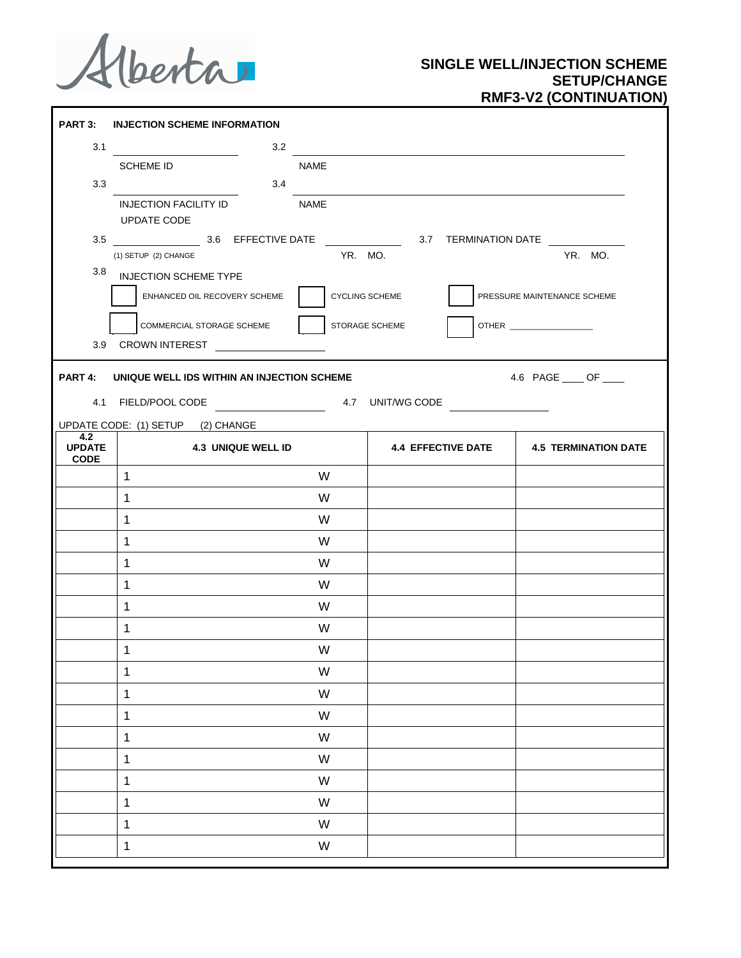Alberta

## **SINGLE WELL/INJECTION SCHEME SETUP/CHANGE RMF3-V2 (CONTINUATION)**

|                              | PART 3: INJECTION SCHEME INFORMATION                                                       |                |                |                                         |
|------------------------------|--------------------------------------------------------------------------------------------|----------------|----------------|-----------------------------------------|
|                              | 3.2<br>3.1                                                                                 |                |                |                                         |
|                              | <b>SCHEME ID</b>                                                                           | <b>NAME</b>    |                |                                         |
| 3.3                          | 3.4                                                                                        |                |                |                                         |
|                              | <b>INJECTION FACILITY ID</b><br><b>NAME</b>                                                |                |                |                                         |
|                              | UPDATE CODE                                                                                |                |                |                                         |
|                              | (1) SETUP (2) CHANGE                                                                       | YR. MO.        |                | YR. MO.                                 |
| 3.8                          | <b>INJECTION SCHEME TYPE</b>                                                               |                |                |                                         |
|                              | ENHANCED OIL RECOVERY SCHEME                                                               | CYCLING SCHEME |                | PRESSURE MAINTENANCE SCHEME             |
|                              | COMMERCIAL STORAGE SCHEME                                                                  |                | STORAGE SCHEME |                                         |
|                              | 3.9 CROWN INTEREST                                                                         |                |                |                                         |
|                              | PART 4: UNIQUE WELL IDS WITHIN AN INJECTION SCHEME<br>4.1 FIELD/POOL CODE 4.7 UNIT/WG CODE |                |                | 4.6 PAGE _____ OF _____                 |
| 4.2                          | UPDATE CODE: (1) SETUP (2) CHANGE                                                          |                |                |                                         |
| <b>UPDATE</b><br><b>CODE</b> | <b>4.3 UNIQUE WELL ID</b>                                                                  |                |                | 4.4 EFFECTIVE DATE 4.5 TERMINATION DATE |
|                              | $\mathbf{1}$                                                                               | W              |                |                                         |
|                              | $\mathbf{1}$                                                                               | W              |                |                                         |
|                              | $\mathbf{1}$                                                                               | W              |                |                                         |
|                              | $\mathbf{1}$                                                                               | W              |                |                                         |
|                              | $\mathbf{1}$                                                                               | W              |                |                                         |
|                              | $\mathbf{1}$                                                                               | W              |                |                                         |
|                              | $\mathbf{1}$                                                                               | W              |                |                                         |
|                              | $\mathbf{1}$                                                                               | W              |                |                                         |
|                              | $\mathbf{1}$                                                                               | W              |                |                                         |
|                              | $\mathbf{1}$                                                                               | W              |                |                                         |
|                              | $\mathbf{1}$                                                                               | W              |                |                                         |
|                              | $\mathbf{1}$                                                                               | W              |                |                                         |
|                              |                                                                                            |                |                |                                         |
|                              | $\mathbf{1}$                                                                               | W              |                |                                         |
|                              | $\mathbf{1}$                                                                               | W              |                |                                         |
|                              | $\mathbf{1}$                                                                               | W              |                |                                         |
|                              | $\mathbf{1}$                                                                               | W              |                |                                         |
|                              | $\mathbf{1}$                                                                               | W              |                |                                         |